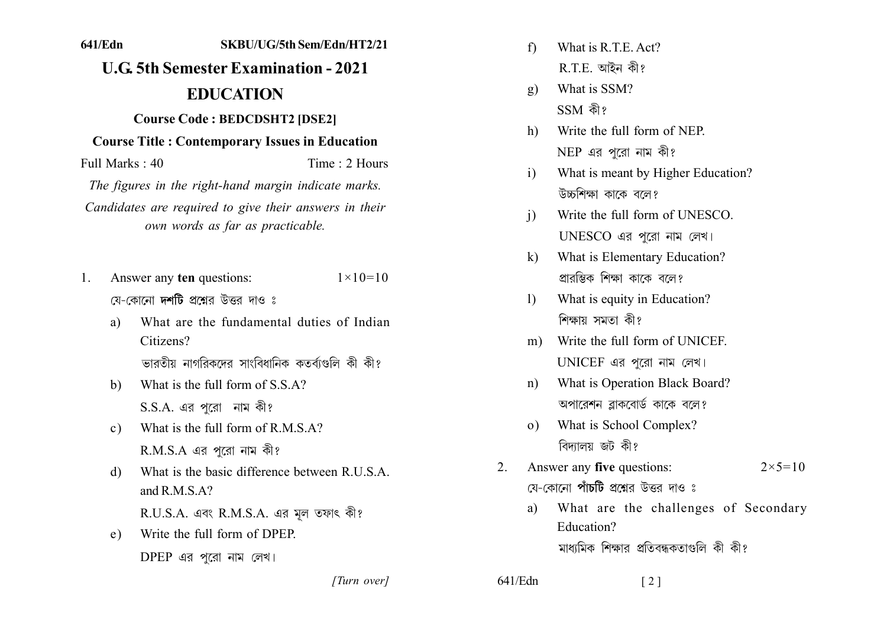## 641/Edn SKBU/UG/5th Sem/Edn/HT2/21 **U.G. 5th Semester Examination - 2021 EDUCATION Course Code: BEDCDSHT2 [DSE2] Course Title: Contemporary Issues in Education** Full Marks: 40 Time  $\cdot$  2 Hours The figures in the right-hand margin indicate marks. Candidates are required to give their answers in their

Answer any ten questions:  $1 \times 10 = 10$  $1$ যে-কোনো **দশটি** প্রশ্নের উত্তর দাও ঃ

own words as far as practicable.

What are the fundamental duties of Indian  $\mathbf{a}$ Citizens?

ভারতীয় নাগরিকদের সাংবিধানিক কতর্বাগুলি কী কী?

- What is the full form of S.S.A?  $\mathbf{b}$  $S.S.A.$  এর পুরো নাম কী?
- What is the full form of R M S  $A$ ?  $c)$  $R.M.S.A$  এর পরো নাম কী?
- What is the basic difference between R U S A  $\mathcal{A}$ and R M S  $A$ ?

R.U.S.A. এবং R.M.S.A. এর মূল তফাৎ কী?

Write the full form of DPEP  $e$ )  $DPEP$  এর পরো নাম লেখ।

What is R T E Act?  $f$  $R.E.$  আইন কী?

- What is SSM?  $\mathbf{g}$ )  $SSM$  কী?
- Write the full form of NEP  $h$  $NEP$  এর পরো নাম কী?
- What is meant by Higher Education?  $\mathbf{i}$ উচ্চশিক্ষা কাকে বলে?
- Write the full form of UNESCO  $\overline{1}$ UNESCO এর পরো নাম লেখ।
- What is Elementary Education?  $\mathbf{k}$ প্রারম্ভিক শিক্ষা কাকে বলে?
- What is equity in Education?  $\mathbf{D}$ শিক্ষায় সমতা কী?
- m) Write the full form of UNICEF UNICEF এর পরো নাম লেখ।
- What is Operation Black Board?  $n$ ) অপারেশন ব্লাকবোর্ড কাকে বলে?
- What is School Complex?  $\Omega$ ) বিদ্যালয় জট কী?
- Answer any five questions:  $2<sub>1</sub>$  $2 \times 5 = 10$ য়ে-কোনো **পাঁচটি** প্রশ্নের উত্তর দাও ঃ

 $\lceil 2 \rceil$ 

What are the challenges of Secondary a) Education? মাধ্যমিক শিক্ষার প্রতিবন্ধকতাগুলি কী কী?

[Turn over]

 $641$ /Edn